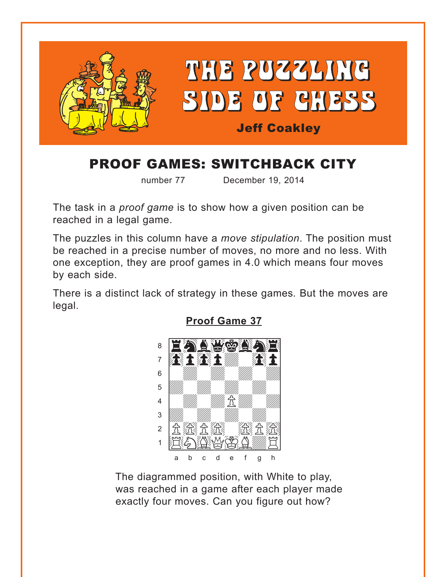<span id="page-0-0"></span>

# PROOF GAMES: SWITCHBACK CITY

number 77 December 19, 2014

The task in a *proof game* is to show how a given position can be reached in a legal game.

The puzzles in this column have a *move stipulation*. The position must be reached in a precise number of moves, no more and no less. With one exception, they are proof games in 4.0 which means four moves by each side.

There is a distinct lack of strategy in these games*.* But the moves are legal.



**[Proof Game 37](#page-4-0)**

The diagrammed position, with White to play, was reached in a game after each player made exactly four moves. Can you figure out how?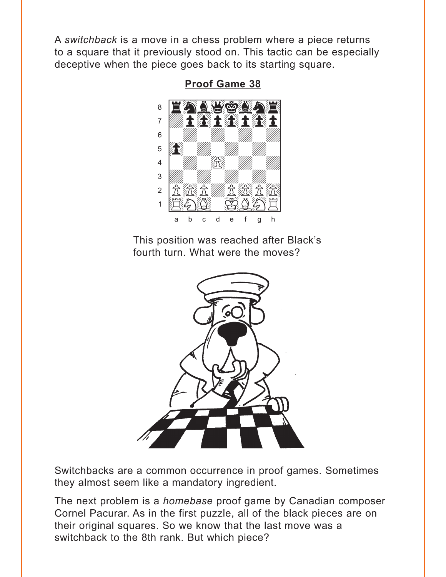<span id="page-1-0"></span>A switchback is a move in a chess problem where a piece returns to a square that it previously stood on. This tactic can be especially deceptive when the piece goes back to its starting square.



**Proof Game 38** 

This position was reached after Black's fourth turn. What were the moves?



Switchbacks are a common occurrence in proof games. Sometimes they almost seem like a mandatory ingredient.

The next problem is a *homebase* proof game by Canadian composer Cornel Pacurar. As in the first puzzle, all of the black pieces are on their original squares. So we know that the last move was a switchback to the 8th rank. But which piece?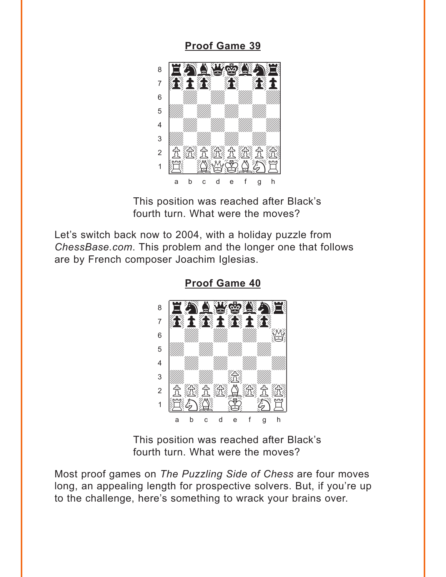#### **[Proof Game 39](#page-5-0)**

<span id="page-2-0"></span>

This position was reached after Black's fourth turn. What were the moves?

Let's switch back now to 2004, with a holiday puzzle from *ChessBase.com*. This problem and the longer one that follows are by French composer Joachim Iglesias.



**[Proof Game 40](#page-5-0)**

This position was reached after Black's fourth turn. What were the moves?

Most proof games on *The Puzzling Side of Chess* are four moves long, an appealing length for prospective solvers. But, if you're up to the challenge, here's something to wrack your brains over.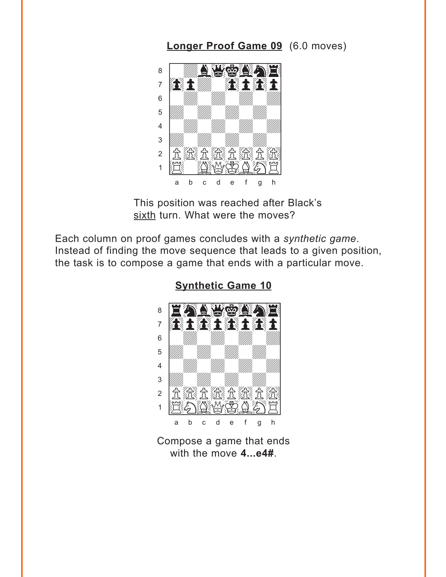### Longer Proof Game 09 (6.0 moves)

<span id="page-3-0"></span>

This position was reached after Black's sixth turn. What were the moves?

Each column on proof games concludes with a synthetic game. Instead of finding the move sequence that leads to a given position, the task is to compose a game that ends with a particular move.



**Synthetic Game 10** 

Compose a game that ends with the move 4...e4#.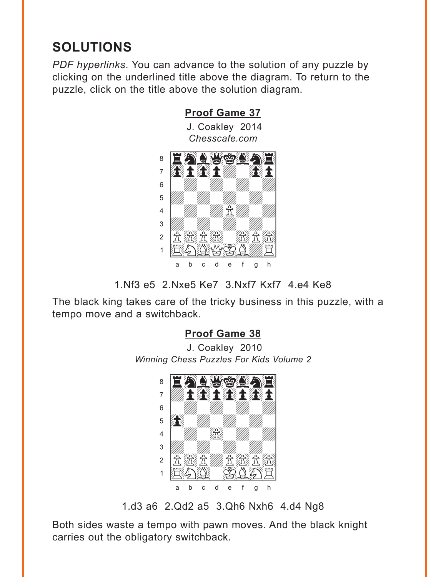## <span id="page-4-0"></span>**SOLUTIONS**

*PDF hyperlinks*. You can advance to the solution of any puzzle by clicking on the underlined title above the diagram. To return to the puzzle, click on the title above the solution diagram.



<sup>1.</sup>Nf3 e5 2.Nxe5 Ke7 3.Nxf7 Kxf7 4.e4 Ke8

The black king takes care of the tricky business in this puzzle, with a tempo move and a switchback.

### **[Proof Game 38](#page-1-0)**

J. Coakley 2010 *Winning Chess Puzzles For Kids Volume 2* 



1.d3 a6 2.Qd2 a5 3.Qh6 Nxh6 4.d4 Ng8

Both sides waste a tempo with pawn moves. And the black knight carries out the obligatory switchback.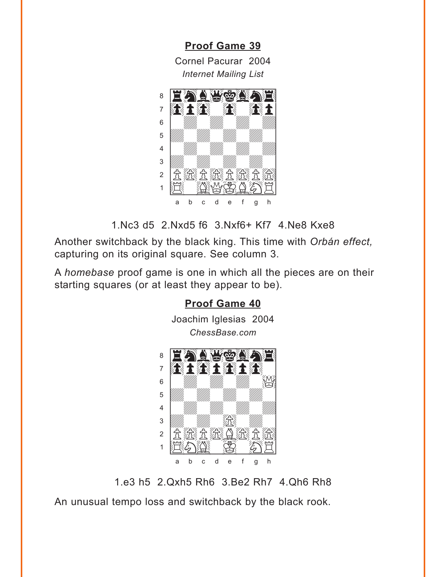<span id="page-5-0"></span>**Proof Game 39** Cornel Pacurar, 2004 **Internet Mailing List** 



1. Nc3 d5 2. Nxd5 f6 3. Nxf6+ Kf7 4. Ne8 Kxe8

Another switchback by the black king. This time with Orbán effect, capturing on its original square. See column 3.

A homebase proof game is one in which all the pieces are on their starting squares (or at least they appear to be).



1.e3 h5 2.Qxh5 Rh6 3.Be2 Rh7 4.Qh6 Rh8

An unusual tempo loss and switchback by the black rook.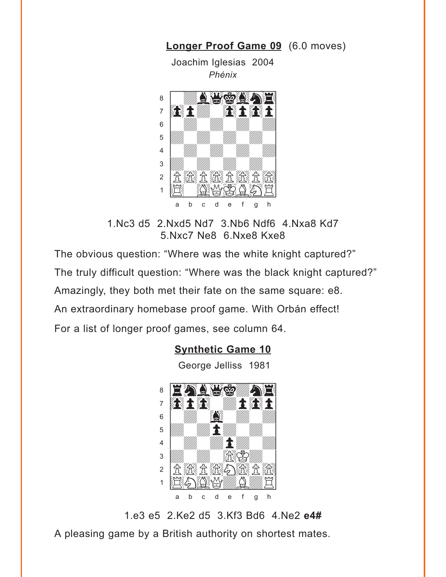<span id="page-6-0"></span>

**[Longer Proof Game 09](#page-3-0)** (6.0 moves)

1.Nc3 d5 2.Nxd5 Nd7 3.Nb6 Ndf6 4.Nxa8 Kd7 5.Nxc7 Ne8 6.Nxe8 Kxe8

The obvious question: "Where was the white knight captured?" The truly difficult question: "Where was the black knight captured?" Amazingly, they both met their fate on the same square: e8. An extraordinary homebase proof game. With Orbán effect! For a list of longer proof games, see column 64.

### **[Synthetic Game 10](#page-3-0)**

George Jelliss 1981



1.e3 e5 2.Ke2 d5 3.Kf3 Bd6 4.Ne2 **e4#**

A pleasing game by a British authority on shortest mates.